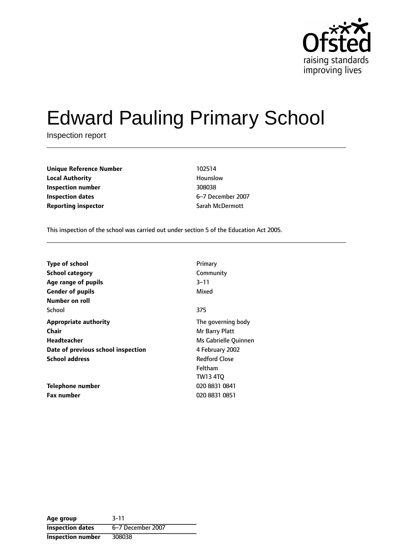

# Edward Pauling Primary School

Inspection report

| <b>Unique Reference Number</b> | 102514           |
|--------------------------------|------------------|
| <b>Local Authority</b>         | Hounslow         |
| Inspection number              | 308038           |
| Inspection dates               | 6-7 December 200 |
| <b>Reporting inspector</b>     | Sarah McDermott  |

**Local Authority** Hounslow **Inspection dates** 67 December 2007

This inspection of the school was carried out under section 5 of the Education Act 2005.

| Type of school                     | Primary              |
|------------------------------------|----------------------|
| <b>School category</b>             | Community            |
| Age range of pupils                | $3 - 11$             |
| <b>Gender of pupils</b>            | Mixed                |
| <b>Number on roll</b>              |                      |
| School                             | 375                  |
| <b>Appropriate authority</b>       | The governing body   |
| <b>Chair</b>                       | Mr Barry Platt       |
| Headteacher                        | Ms Gabrielle Quinnen |
| Date of previous school inspection | 4 February 2002      |
| <b>School address</b>              | <b>Redford Close</b> |
|                                    | Feltham              |
|                                    | <b>TW13 4TO</b>      |
| Telephone number                   | 020 8831 0841        |
| <b>Fax number</b>                  | 020 8831 0851        |

**Age group** 3-11 **Inspection dates** 6-7 December 2007 **Inspection number** 308038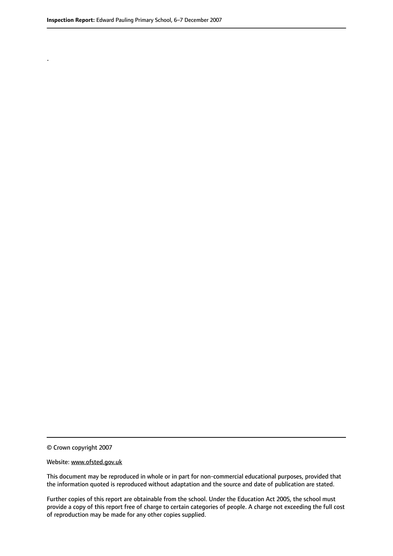.

© Crown copyright 2007

#### Website: www.ofsted.gov.uk

This document may be reproduced in whole or in part for non-commercial educational purposes, provided that the information quoted is reproduced without adaptation and the source and date of publication are stated.

Further copies of this report are obtainable from the school. Under the Education Act 2005, the school must provide a copy of this report free of charge to certain categories of people. A charge not exceeding the full cost of reproduction may be made for any other copies supplied.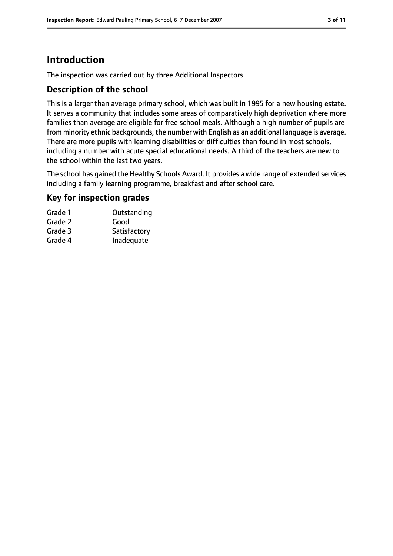# **Introduction**

The inspection was carried out by three Additional Inspectors.

#### **Description of the school**

This is a larger than average primary school, which was built in 1995 for a new housing estate. It serves a community that includes some areas of comparatively high deprivation where more families than average are eligible for free school meals. Although a high number of pupils are from minority ethnic backgrounds, the number with English as an additional language is average. There are more pupils with learning disabilities or difficulties than found in most schools, including a number with acute special educational needs. A third of the teachers are new to the school within the last two years.

The school has gained the Healthy Schools Award. It provides a wide range of extended services including a family learning programme, breakfast and after school care.

#### **Key for inspection grades**

| Outstanding  |
|--------------|
| Good         |
| Satisfactory |
| Inadequate   |
|              |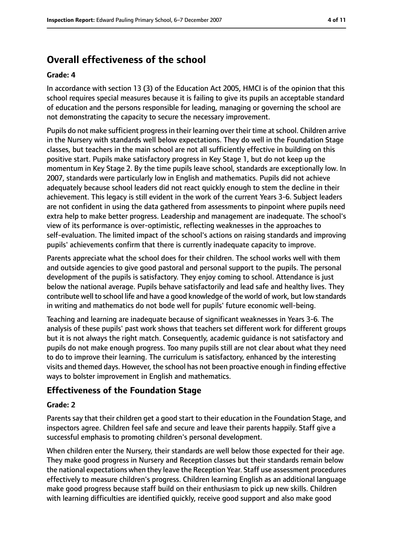# **Overall effectiveness of the school**

#### **Grade: 4**

In accordance with section 13 (3) of the Education Act 2005, HMCI is of the opinion that this school requires special measures because it is failing to give its pupils an acceptable standard of education and the persons responsible for leading, managing or governing the school are not demonstrating the capacity to secure the necessary improvement.

Pupils do not make sufficient progressin their learning over their time atschool. Children arrive in the Nursery with standards well below expectations. They do well in the Foundation Stage classes, but teachers in the main school are not all sufficiently effective in building on this positive start. Pupils make satisfactory progress in Key Stage 1, but do not keep up the momentum in Key Stage 2. By the time pupils leave school, standards are exceptionally low. In 2007, standards were particularly low in English and mathematics. Pupils did not achieve adequately because school leaders did not react quickly enough to stem the decline in their achievement. This legacy is still evident in the work of the current Years 3-6. Subject leaders are not confident in using the data gathered from assessments to pinpoint where pupils need extra help to make better progress. Leadership and management are inadequate. The school's view of its performance is over-optimistic, reflecting weaknesses in the approaches to self-evaluation. The limited impact of the school's actions on raising standards and improving pupils' achievements confirm that there is currently inadequate capacity to improve.

Parents appreciate what the school does for their children. The school works well with them and outside agencies to give good pastoral and personal support to the pupils. The personal development of the pupils is satisfactory. They enjoy coming to school. Attendance is just below the national average. Pupils behave satisfactorily and lead safe and healthy lives. They contribute well to school life and have a good knowledge of the world of work, but low standards in writing and mathematics do not bode well for pupils' future economic well-being.

Teaching and learning are inadequate because of significant weaknesses in Years 3-6. The analysis of these pupils' past work shows that teachers set different work for different groups but it is not always the right match. Consequently, academic guidance is not satisfactory and pupils do not make enough progress. Too many pupils still are not clear about what they need to do to improve their learning. The curriculum is satisfactory, enhanced by the interesting visits and themed days. However, the school has not been proactive enough in finding effective ways to bolster improvement in English and mathematics.

## **Effectiveness of the Foundation Stage**

#### **Grade: 2**

Parents say that their children get a good start to their education in the Foundation Stage, and inspectors agree. Children feel safe and secure and leave their parents happily. Staff give a successful emphasis to promoting children's personal development.

When children enter the Nursery, their standards are well below those expected for their age. They make good progress in Nursery and Reception classes but their standards remain below the national expectations when they leave the Reception Year. Staff use assessment procedures effectively to measure children's progress. Children learning English as an additional language make good progress because staff build on their enthusiasm to pick up new skills. Children with learning difficulties are identified quickly, receive good support and also make good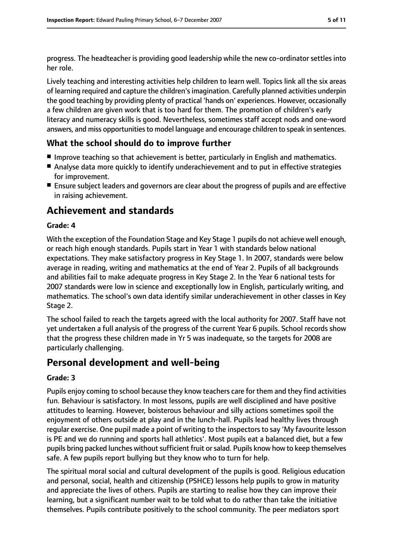progress. The headteacher is providing good leadership while the new co-ordinator settles into her role.

Lively teaching and interesting activities help children to learn well. Topics link all the six areas of learning required and capture the children'simagination. Carefully planned activities underpin the good teaching by providing plenty of practical 'hands on' experiences. However, occasionally a few children are given work that is too hard for them. The promotion of children's early literacy and numeracy skills is good. Nevertheless, sometimes staff accept nods and one-word answers, and miss opportunities to model language and encourage children to speak in sentences.

#### **What the school should do to improve further**

- Improve teaching so that achievement is better, particularly in English and mathematics.
- Analyse data more quickly to identify underachievement and to put in effective strategies for improvement.
- Ensure subject leaders and governors are clear about the progress of pupils and are effective in raising achievement.

# **Achievement and standards**

#### **Grade: 4**

With the exception of the Foundation Stage and Key Stage 1 pupils do not achieve well enough, or reach high enough standards. Pupils start in Year 1 with standards below national expectations. They make satisfactory progress in Key Stage 1. In 2007, standards were below average in reading, writing and mathematics at the end of Year 2. Pupils of all backgrounds and abilities fail to make adequate progress in Key Stage 2. In the Year 6 national tests for 2007 standards were low in science and exceptionally low in English, particularly writing, and mathematics. The school's own data identify similar underachievement in other classes in Key Stage 2.

The school failed to reach the targets agreed with the local authority for 2007. Staff have not yet undertaken a full analysis of the progress of the current Year 6 pupils. School records show that the progress these children made in Yr 5 was inadequate, so the targets for 2008 are particularly challenging.

# **Personal development and well-being**

#### **Grade: 3**

Pupils enjoy coming to school because they know teachers care for them and they find activities fun. Behaviour is satisfactory. In most lessons, pupils are well disciplined and have positive attitudes to learning. However, boisterous behaviour and silly actions sometimes spoil the enjoyment of others outside at play and in the lunch-hall. Pupils lead healthy lives through regular exercise. One pupil made a point of writing to the inspectors to say 'My favourite lesson is PE and we do running and sports hall athletics'. Most pupils eat a balanced diet, but a few pupils bring packed lunches without sufficient fruit or salad. Pupils know how to keep themselves safe. A few pupils report bullying but they know who to turn for help.

The spiritual moral social and cultural development of the pupils is good. Religious education and personal, social, health and citizenship (PSHCE) lessons help pupils to grow in maturity and appreciate the lives of others. Pupils are starting to realise how they can improve their learning, but a significant number wait to be told what to do rather than take the initiative themselves. Pupils contribute positively to the school community. The peer mediators sport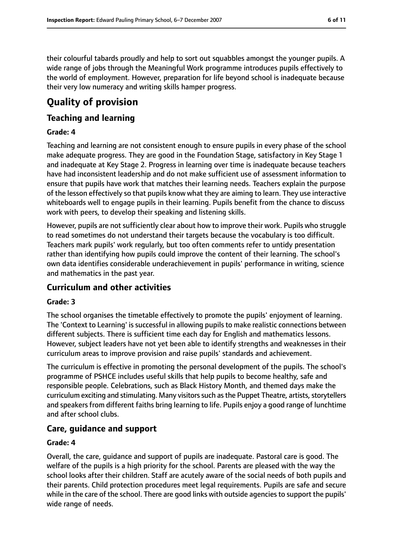their colourful tabards proudly and help to sort out squabbles amongst the younger pupils. A wide range of jobs through the Meaningful Work programme introduces pupils effectively to the world of employment. However, preparation for life beyond school is inadequate because their very low numeracy and writing skills hamper progress.

# **Quality of provision**

### **Teaching and learning**

#### **Grade: 4**

Teaching and learning are not consistent enough to ensure pupils in every phase of the school make adequate progress. They are good in the Foundation Stage, satisfactory in Key Stage 1 and inadequate at Key Stage 2. Progress in learning over time is inadequate because teachers have had inconsistent leadership and do not make sufficient use of assessment information to ensure that pupils have work that matches their learning needs. Teachers explain the purpose of the lesson effectively so that pupils know what they are aiming to learn. They use interactive whiteboards well to engage pupils in their learning. Pupils benefit from the chance to discuss work with peers, to develop their speaking and listening skills.

However, pupils are not sufficiently clear about how to improve their work. Pupils who struggle to read sometimes do not understand their targets because the vocabulary is too difficult. Teachers mark pupils' work regularly, but too often comments refer to untidy presentation rather than identifying how pupils could improve the content of their learning. The school's own data identifies considerable underachievement in pupils' performance in writing, science and mathematics in the past year.

#### **Curriculum and other activities**

#### **Grade: 3**

The school organises the timetable effectively to promote the pupils' enjoyment of learning. The 'Context to Learning' is successful in allowing pupils to make realistic connections between different subjects. There is sufficient time each day for English and mathematics lessons. However, subject leaders have not yet been able to identify strengths and weaknesses in their curriculum areas to improve provision and raise pupils' standards and achievement.

The curriculum is effective in promoting the personal development of the pupils. The school's programme of PSHCE includes useful skills that help pupils to become healthy, safe and responsible people. Celebrations, such as Black History Month, and themed days make the curriculum exciting and stimulating. Many visitors such as the Puppet Theatre, artists, storytellers and speakers from different faiths bring learning to life. Pupils enjoy a good range of lunchtime and after school clubs.

## **Care, guidance and support**

#### **Grade: 4**

Overall, the care, guidance and support of pupils are inadequate. Pastoral care is good. The welfare of the pupils is a high priority for the school. Parents are pleased with the way the school looks after their children. Staff are acutely aware of the social needs of both pupils and their parents. Child protection procedures meet legal requirements. Pupils are safe and secure while in the care of the school. There are good links with outside agencies to support the pupils' wide range of needs.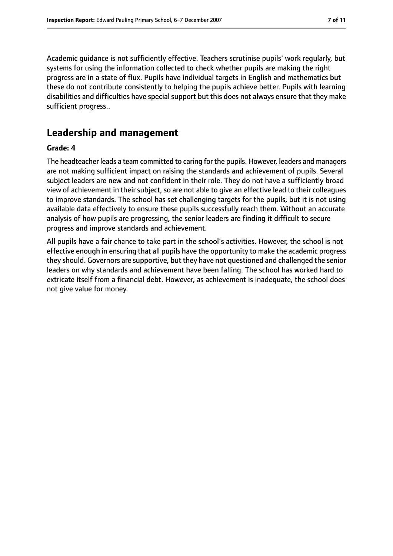Academic guidance is not sufficiently effective. Teachers scrutinise pupils' work regularly, but systems for using the information collected to check whether pupils are making the right progress are in a state of flux. Pupils have individual targets in English and mathematics but these do not contribute consistently to helping the pupils achieve better. Pupils with learning disabilities and difficulties have special support but this does not always ensure that they make sufficient progress..

# **Leadership and management**

#### **Grade: 4**

The headteacher leads a team committed to caring for the pupils. However, leaders and managers are not making sufficient impact on raising the standards and achievement of pupils. Several subject leaders are new and not confident in their role. They do not have a sufficiently broad view of achievement in their subject, so are not able to give an effective lead to their colleagues to improve standards. The school has set challenging targets for the pupils, but it is not using available data effectively to ensure these pupils successfully reach them. Without an accurate analysis of how pupils are progressing, the senior leaders are finding it difficult to secure progress and improve standards and achievement.

All pupils have a fair chance to take part in the school's activities. However, the school is not effective enough in ensuring that all pupils have the opportunity to make the academic progress they should. Governors are supportive, but they have not questioned and challenged the senior leaders on why standards and achievement have been falling. The school has worked hard to extricate itself from a financial debt. However, as achievement is inadequate, the school does not give value for money.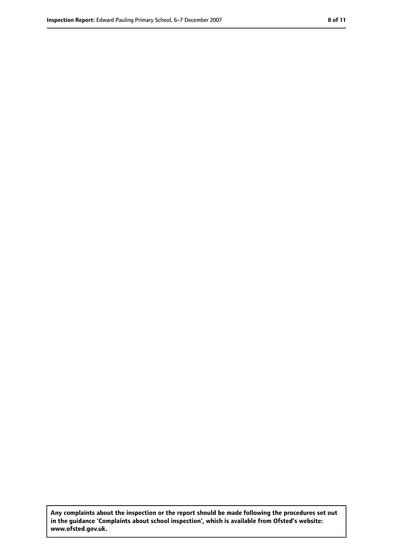**Any complaints about the inspection or the report should be made following the procedures set out in the guidance 'Complaints about school inspection', which is available from Ofsted's website: www.ofsted.gov.uk.**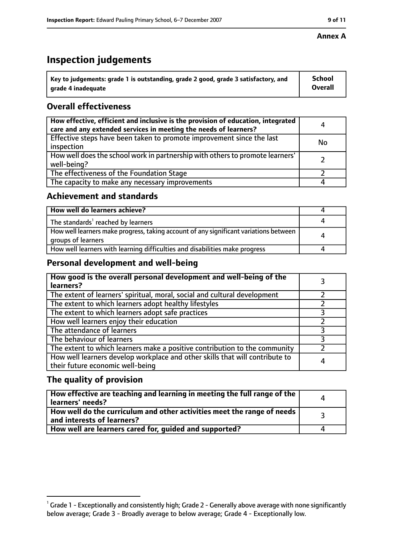# **Inspection judgements**

| $^{\backprime}$ Key to judgements: grade 1 is outstanding, grade 2 good, grade 3 satisfactory, and | <b>School</b>  |
|----------------------------------------------------------------------------------------------------|----------------|
| arade 4 inadequate                                                                                 | <b>Overall</b> |

# **Overall effectiveness**

| How effective, efficient and inclusive is the provision of education, integrated<br>care and any extended services in meeting the needs of learners? | 4         |
|------------------------------------------------------------------------------------------------------------------------------------------------------|-----------|
| Effective steps have been taken to promote improvement since the last<br>inspection                                                                  | <b>No</b> |
| How well does the school work in partnership with others to promote learners'<br>well-being?                                                         |           |
| The effectiveness of the Foundation Stage                                                                                                            |           |
| The capacity to make any necessary improvements                                                                                                      |           |

#### **Achievement and standards**

| How well do learners achieve?                                                                               |  |
|-------------------------------------------------------------------------------------------------------------|--|
| The standards <sup>1</sup> reached by learners                                                              |  |
| How well learners make progress, taking account of any significant variations between<br>groups of learners |  |
| How well learners with learning difficulties and disabilities make progress                                 |  |

## **Personal development and well-being**

| How good is the overall personal development and well-being of the<br>learners?                                  |  |
|------------------------------------------------------------------------------------------------------------------|--|
| The extent of learners' spiritual, moral, social and cultural development                                        |  |
| The extent to which learners adopt healthy lifestyles                                                            |  |
| The extent to which learners adopt safe practices                                                                |  |
| How well learners enjoy their education                                                                          |  |
| The attendance of learners                                                                                       |  |
| The behaviour of learners                                                                                        |  |
| The extent to which learners make a positive contribution to the community                                       |  |
| How well learners develop workplace and other skills that will contribute to<br>their future economic well-being |  |

## **The quality of provision**

| How effective are teaching and learning in meeting the full range of the<br>learners' needs?          |  |
|-------------------------------------------------------------------------------------------------------|--|
| How well do the curriculum and other activities meet the range of needs<br>and interests of learners? |  |
| How well are learners cared for, guided and supported?                                                |  |

 $^1$  Grade 1 - Exceptionally and consistently high; Grade 2 - Generally above average with none significantly below average; Grade 3 - Broadly average to below average; Grade 4 - Exceptionally low.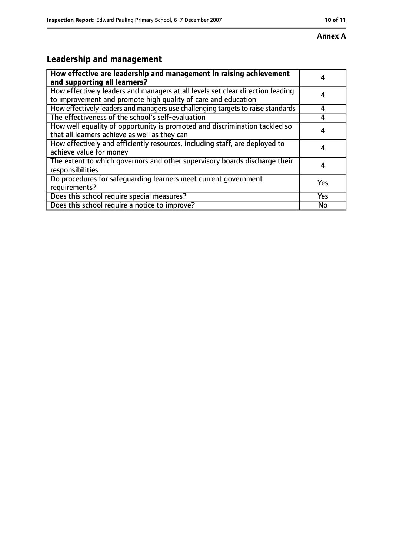# **Leadership and management**

| How effective are leadership and management in raising achievement<br>and supporting all learners?                                              |     |
|-------------------------------------------------------------------------------------------------------------------------------------------------|-----|
| How effectively leaders and managers at all levels set clear direction leading<br>to improvement and promote high quality of care and education |     |
| How effectively leaders and managers use challenging targets to raise standards                                                                 | 4   |
| The effectiveness of the school's self-evaluation                                                                                               |     |
| How well equality of opportunity is promoted and discrimination tackled so<br>that all learners achieve as well as they can                     | 4   |
| How effectively and efficiently resources, including staff, are deployed to<br>achieve value for money                                          | 4   |
| The extent to which governors and other supervisory boards discharge their<br>responsibilities                                                  | 4   |
| Do procedures for safequarding learners meet current government<br>requirements?                                                                | Yes |
| Does this school require special measures?                                                                                                      | Yes |
| Does this school require a notice to improve?                                                                                                   | No  |